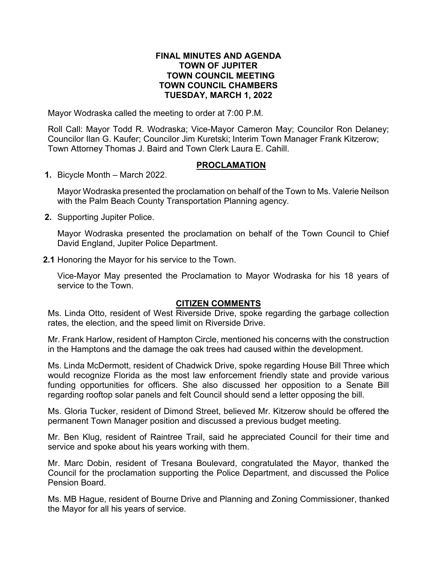# **FINAL MINUTES AND AGENDA TOWN OF JUPITER TOWN COUNCIL MEETING TOWN COUNCIL CHAMBERS TUESDAY, MARCH 1, 2022**

Mayor Wodraska called the meeting to order at 7:00 P.M.

Roll Call: Mayor Todd R. Wodraska; Vice-Mayor Cameron May; Councilor Ron Delaney; Councilor Ilan G. Kaufer; Councilor Jim Kuretski; Interim Town Manager Frank Kitzerow; Town Attorney Thomas J. Baird and Town Clerk Laura E. Cahill.

# **PROCLAMATION**

**1.** Bicycle Month – March 2022.

Mayor Wodraska presented the proclamation on behalf of the Town to Ms. Valerie Neilson with the Palm Beach County Transportation Planning agency.

**2.** Supporting Jupiter Police.

Mayor Wodraska presented the proclamation on behalf of the Town Council to Chief David England, Jupiter Police Department.

**2.1** Honoring the Mayor for his service to the Town.

Vice-Mayor May presented the Proclamation to Mayor Wodraska for his 18 years of service to the Town.

# **CITIZEN COMMENTS**

Ms. Linda Otto, resident of West Riverside Drive, spoke regarding the garbage collection rates, the election, and the speed limit on Riverside Drive.

Mr. Frank Harlow, resident of Hampton Circle, mentioned his concerns with the construction in the Hamptons and the damage the oak trees had caused within the development.

Ms. Linda McDermott, resident of Chadwick Drive, spoke regarding House Bill Three which would recognize Florida as the most law enforcement friendly state and provide various funding opportunities for officers. She also discussed her opposition to a Senate Bill regarding rooftop solar panels and felt Council should send a letter opposing the bill.

Ms. Gloria Tucker, resident of Dimond Street, believed Mr. Kitzerow should be offered the permanent Town Manager position and discussed a previous budget meeting.

Mr. Ben Klug, resident of Raintree Trail, said he appreciated Council for their time and service and spoke about his years working with them.

Mr. Marc Dobin, resident of Tresana Boulevard, congratulated the Mayor, thanked the Council for the proclamation supporting the Police Department, and discussed the Police Pension Board.

Ms. MB Hague, resident of Bourne Drive and Planning and Zoning Commissioner, thanked the Mayor for all his years of service.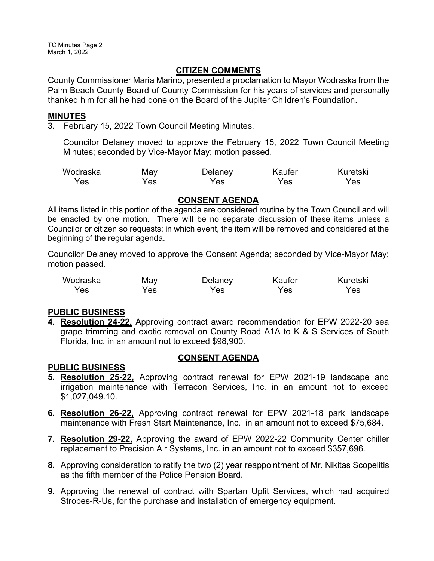TC Minutes Page 2 March 1, 2022

# **CITIZEN COMMENTS**

County Commissioner Maria Marino, presented a proclamation to Mayor Wodraska from the Palm Beach County Board of County Commission for his years of services and personally thanked him for all he had done on the Board of the Jupiter Children's Foundation.

## **MINUTES**

**3.** February 15, 2022 Town Council Meeting Minutes.

Councilor Delaney moved to approve the February 15, 2022 Town Council Meeting Minutes; seconded by Vice-Mayor May; motion passed.

| Wodraska | May | Delaney | Kaufer | Kuretski |
|----------|-----|---------|--------|----------|
| Yes      | Yes | Yes     | Yes    | Yes      |

## **CONSENT AGENDA**

All items listed in this portion of the agenda are considered routine by the Town Council and will be enacted by one motion. There will be no separate discussion of these items unless a Councilor or citizen so requests; in which event, the item will be removed and considered at the beginning of the regular agenda.

Councilor Delaney moved to approve the Consent Agenda; seconded by Vice-Mayor May; motion passed.

| Wodraska | May | Delaney | Kaufer | Kuretski |
|----------|-----|---------|--------|----------|
| Yes      | Yes | Yes     | Yes    | Yes.     |

# **PUBLIC BUSINESS**

**4. Resolution 24-22,** Approving contract award recommendation for EPW 2022-20 sea grape trimming and exotic removal on County Road A1A to K & S Services of South Florida, Inc. in an amount not to exceed \$98,900.

#### **PUBLIC BUSINESS**

# **CONSENT AGENDA**

- **5. Resolution 25-22,** Approving contract renewal for EPW 2021-19 landscape and irrigation maintenance with Terracon Services, Inc. in an amount not to exceed \$1,027,049.10.
- **6. Resolution 26-22,** Approving contract renewal for EPW 2021-18 park landscape maintenance with Fresh Start Maintenance, Inc. in an amount not to exceed \$75,684.
- **7. Resolution 29-22,** Approving the award of EPW 2022-22 Community Center chiller replacement to Precision Air Systems, Inc. in an amount not to exceed \$357,696.
- **8.** Approving consideration to ratify the two (2) year reappointment of Mr. Nikitas Scopelitis as the fifth member of the Police Pension Board.
- **9.** Approving the renewal of contract with Spartan Upfit Services, which had acquired Strobes-R-Us, for the purchase and installation of emergency equipment.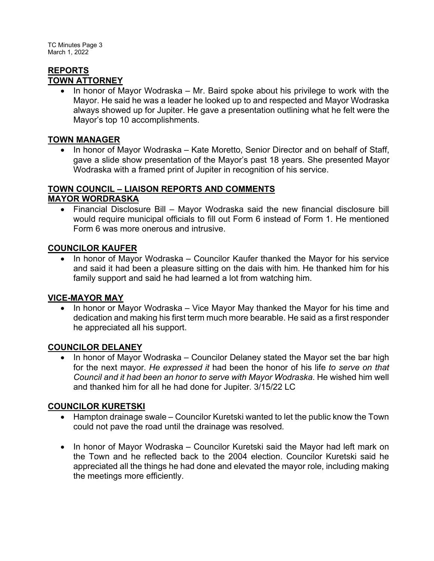TC Minutes Page 3 March 1, 2022

#### **REPORTS TOWN ATTORNEY**

· In honor of Mayor Wodraska – Mr. Baird spoke about his privilege to work with the Mayor. He said he was a leader he looked up to and respected and Mayor Wodraska always showed up for Jupiter. He gave a presentation outlining what he felt were the Mayor's top 10 accomplishments.

# **TOWN MANAGER**

• In honor of Mayor Wodraska – Kate Moretto, Senior Director and on behalf of Staff, gave a slide show presentation of the Mayor's past 18 years. She presented Mayor Wodraska with a framed print of Jupiter in recognition of his service.

# **TOWN COUNCIL – LIAISON REPORTS AND COMMENTS**

# **MAYOR WORDRASKA**

· Financial Disclosure Bill – Mayor Wodraska said the new financial disclosure bill would require municipal officials to fill out Form 6 instead of Form 1. He mentioned Form 6 was more onerous and intrusive.

# **COUNCILOR KAUFER**

· In honor of Mayor Wodraska – Councilor Kaufer thanked the Mayor for his service and said it had been a pleasure sitting on the dais with him. He thanked him for his family support and said he had learned a lot from watching him.

# **VICE-MAYOR MAY**

In honor or Mayor Wodraska – Vice Mayor May thanked the Mayor for his time and dedication and making his first term much more bearable. He said as a first responder he appreciated all his support.

# **COUNCILOR DELANEY**

· In honor of Mayor Wodraska – Councilor Delaney stated the Mayor set the bar high for the next mayor. *He expressed it* had been the honor of his life *to serve on that Council and it had been an honor to serve with Mayor Wodraska*. He wished him well and thanked him for all he had done for Jupiter. 3/15/22 LC

# **COUNCILOR KURETSKI**

- Hampton drainage swale Councilor Kuretski wanted to let the public know the Town could not pave the road until the drainage was resolved.
- In honor of Mayor Wodraska Councilor Kuretski said the Mayor had left mark on the Town and he reflected back to the 2004 election. Councilor Kuretski said he appreciated all the things he had done and elevated the mayor role, including making the meetings more efficiently.